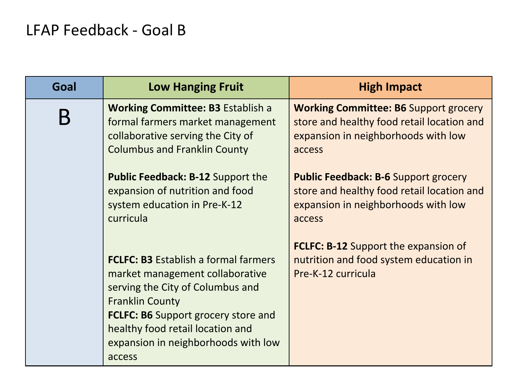## LFAP Feedback - Goal B

| Goal | <b>Low Hanging Fruit</b>                                                                                                                                                                                                                                                        | <b>High Impact</b>                                                                                                                          |
|------|---------------------------------------------------------------------------------------------------------------------------------------------------------------------------------------------------------------------------------------------------------------------------------|---------------------------------------------------------------------------------------------------------------------------------------------|
| Β    | <b>Working Committee: B3 Establish a</b><br>formal farmers market management<br>collaborative serving the City of<br><b>Columbus and Franklin County</b>                                                                                                                        | <b>Working Committee: B6 Support grocery</b><br>store and healthy food retail location and<br>expansion in neighborhoods with low<br>access |
|      | <b>Public Feedback: B-12 Support the</b><br>expansion of nutrition and food<br>system education in Pre-K-12<br>curricula                                                                                                                                                        | <b>Public Feedback: B-6 Support grocery</b><br>store and healthy food retail location and<br>expansion in neighborhoods with low<br>access  |
|      | <b>FCLFC: B3 Establish a formal farmers</b><br>market management collaborative<br>serving the City of Columbus and<br><b>Franklin County</b><br><b>FCLFC: B6 Support grocery store and</b><br>healthy food retail location and<br>expansion in neighborhoods with low<br>access | <b>FCLFC: B-12 Support the expansion of</b><br>nutrition and food system education in<br>Pre-K-12 curricula                                 |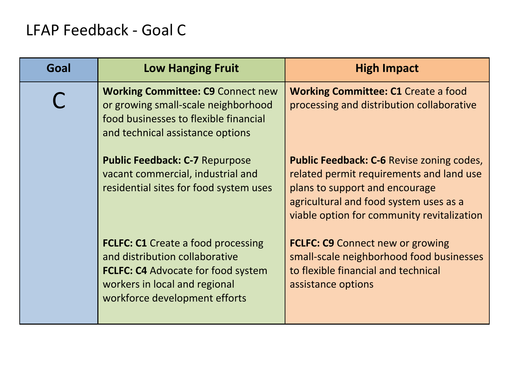## LFAP Feedback - Goal C

| Goal | <b>Low Hanging Fruit</b>                                                                                                                                                                   | <b>High Impact</b>                                                                                                                                                                                                     |
|------|--------------------------------------------------------------------------------------------------------------------------------------------------------------------------------------------|------------------------------------------------------------------------------------------------------------------------------------------------------------------------------------------------------------------------|
|      | <b>Working Committee: C9 Connect new</b><br>or growing small-scale neighborhood<br>food businesses to flexible financial<br>and technical assistance options                               | <b>Working Committee: C1 Create a food</b><br>processing and distribution collaborative                                                                                                                                |
|      | <b>Public Feedback: C-7 Repurpose</b><br>vacant commercial, industrial and<br>residential sites for food system uses                                                                       | <b>Public Feedback: C-6 Revise zoning codes,</b><br>related permit requirements and land use<br>plans to support and encourage<br>agricultural and food system uses as a<br>viable option for community revitalization |
|      | <b>FCLFC: C1</b> Create a food processing<br>and distribution collaborative<br><b>FCLFC: C4 Advocate for food system</b><br>workers in local and regional<br>workforce development efforts | <b>FCLFC: C9 Connect new or growing</b><br>small-scale neighborhood food businesses<br>to flexible financial and technical<br>assistance options                                                                       |